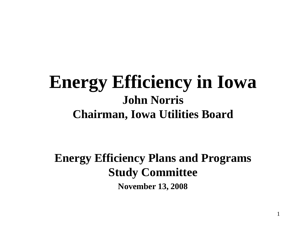#### **Energy Efficiency in Iowa John Norris Chairman, Iowa Utilities Board**

**Energy Efficiency Plans and Programs Study Committee November 13, 2008**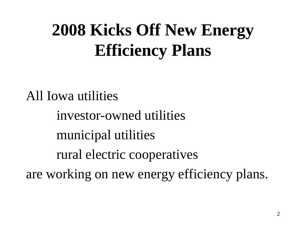# **2008 Kicks Off New Energy Efficiency Plans**

All Iowa utilities investor-owned utilities municipal utilities rural electric cooperatives are working on new energy efficiency plans.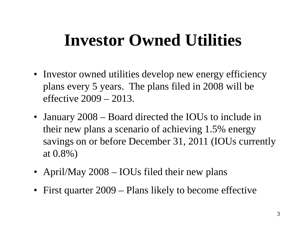### **Investor Owned Utilities**

- Investor owned utilities develop new energy efficiency plans every 5 years. The plans filed in 2008 will be effective 2009 – 2013.
- January 2008 Board directed the IOUs to include in their new plans a scenario of achieving 1.5% energy savings on or before December 31, 2011 (IOUs currently at 0.8%)
- April/May 2008 IOUs filed their new plans
- First quarter 2009 Plans likely to become effective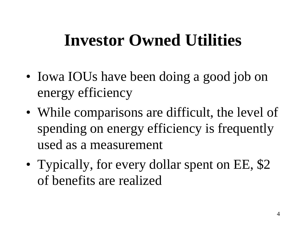### **Investor Owned Utilities**

- Iowa IOUs have been doing a good job on energy efficiency
- While comparisons are difficult, the level of spending on energy efficiency is frequently used as a measurement
- Typically, for every dollar spent on EE, \$2 of benefits are realized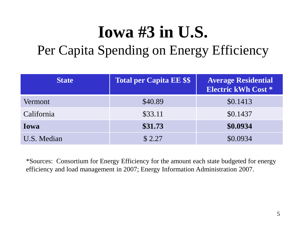# **Iowa #3 in U.S.**

#### Per Capita Spending on Energy Efficiency

| <b>State</b> | <b>Total per Capita EE \$\$</b> | <b>Average Residential</b><br><b>Electric kWh Cost *</b> |
|--------------|---------------------------------|----------------------------------------------------------|
| Vermont      | \$40.89                         | \$0.1413                                                 |
| California   | \$33.11                         | \$0.1437                                                 |
| Iowa         | \$31.73                         | \$0.0934                                                 |
| U.S. Median  | \$2.27                          | \$0.0934                                                 |

\*Sources: Consortium for Energy Efficiency for the amount each state budgeted for energy efficiency and load management in 2007; Energy Information Administration 2007.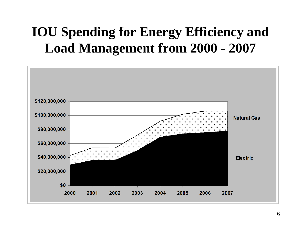#### **IOU Spending for Energy Efficiency and Load Management from 2000 - 2007**

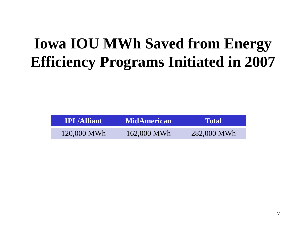### **Iowa IOU MWh Saved from Energy Efficiency Programs Initiated in 2007**

| <b>IPL/Alliant</b> | <b>MidAmerican</b> | <b>Motal</b> |
|--------------------|--------------------|--------------|
| 120,000 MWh        | 162,000 MWh        | 282,000 MWh  |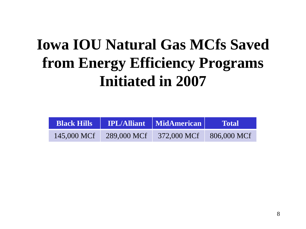### **Iowa IOU Natural Gas MCfs Saved from Energy Efficiency Programs Initiated in 2007**

| <b>Black Hills</b> |               | <b>IPL/Alliant</b>   MidAmerican | <b>Total</b> |
|--------------------|---------------|----------------------------------|--------------|
| 145,000 MCf        | $289,000$ MCf | 372,000 MCf 806,000 MCf          |              |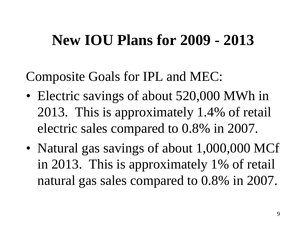#### **New IOU Plans for 2009 - 2013**

Composite Goals for IPL and MEC:

- Electric savings of about 520,000 MWh in 2013. This is approximately 1.4% of retail electric sales compared to 0.8% in 2007.
- Natural gas savings of about 1,000,000 MCf in 2013. This is approximately 1% of retail natural gas sales compared to 0.8% in 2007.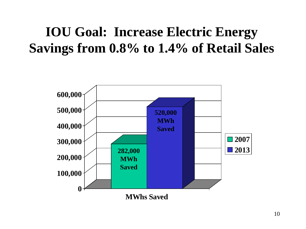#### **IOU Goal: Increase Electric Energy Savings from 0.8% to 1.4% of Retail Sales**

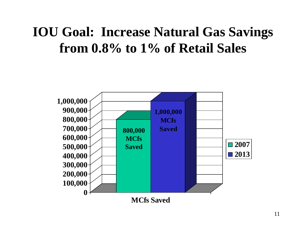#### **IOU Goal: Increase Natural Gas Savings from 0.8% to 1% of Retail Sales**

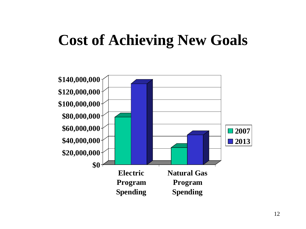#### **Cost of Achieving New Goals**

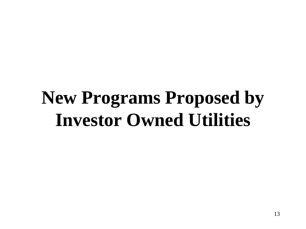# **New Programs Proposed by Investor Owned Utilities**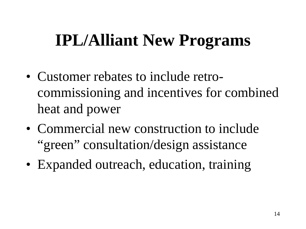# **IPL/Alliant New Programs**

- Customer rebates to include retrocommissioning and incentives for combined heat and power
- Commercial new construction to include "green" consultation/design assistance
- Expanded outreach, education, training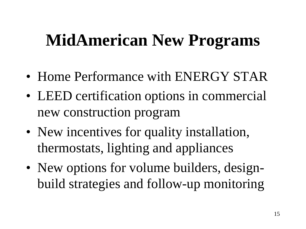# **MidAmerican New Programs**

- Home Performance with ENERGY STAR
- LEED certification options in commercial new construction program
- New incentives for quality installation, thermostats, lighting and appliances
- New options for volume builders, designbuild strategies and follow-up monitoring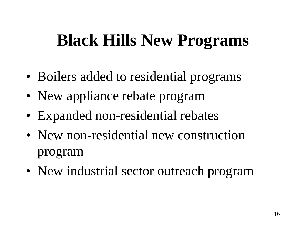# **Black Hills New Programs**

- Boilers added to residential programs
- New appliance rebate program
- Expanded non-residential rebates
- New non-residential new construction program
- New industrial sector outreach program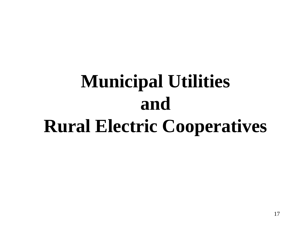# **Municipal Utilities and Rural Electric Cooperatives**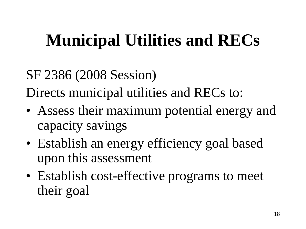# **Municipal Utilities and RECs**

#### SF 2386 (2008 Session)

Directs municipal utilities and RECs to:

- Assess their maximum potential energy and capacity savings
- Establish an energy efficiency goal based upon this assessment
- Establish cost-effective programs to meet their goal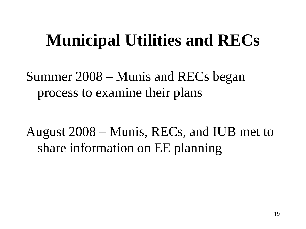### **Municipal Utilities and RECs**

Summer 2008 – Munis and RECs began process to examine their plans

August 2008 – Munis, RECs, and IUB met to share information on EE planning